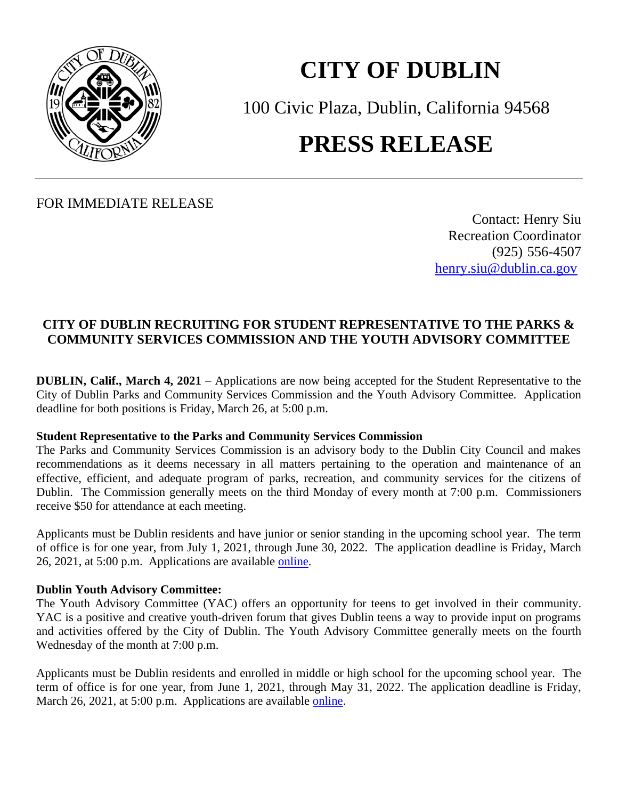

## **CITY OF DUBLIN**

100 Civic Plaza, Dublin, California 94568 **PRESS RELEASE**

FOR IMMEDIATE RELEASE

Contact: Henry Siu Recreation Coordinator (925) 556-4507 [henry.siu@dublin.ca.gov](mailto:henry.siu@dublin.ca.gov)

## **CITY OF DUBLIN RECRUITING FOR STUDENT REPRESENTATIVE TO THE PARKS & COMMUNITY SERVICES COMMISSION AND THE YOUTH ADVISORY COMMITTEE**

**DUBLIN, Calif., March 4, 2021** – Applications are now being accepted for the Student Representative to the City of Dublin Parks and Community Services Commission and the Youth Advisory Committee. Application deadline for both positions is Friday, March 26, at 5:00 p.m.

## **Student Representative to the Parks and Community Services Commission**

The Parks and Community Services Commission is an advisory body to the Dublin City Council and makes recommendations as it deems necessary in all matters pertaining to the operation and maintenance of an effective, efficient, and adequate program of parks, recreation, and community services for the citizens of Dublin. The Commission generally meets on the third Monday of every month at 7:00 p.m. Commissioners receive \$50 for attendance at each meeting.

Applicants must be Dublin residents and have junior or senior standing in the upcoming school year. The term of office is for one year, from July 1, 2021, through June 30, 2022. The application deadline is Friday, March 26, 2021, at 5:00 p.m. Applications are available [online.](https://dublin.ca.gov/FormCenter/Parks-and-Community-Services-9/Student-Representative-to-the-Parks-and--166)

## **Dublin Youth Advisory Committee:**

The Youth Advisory Committee (YAC) offers an opportunity for teens to get involved in their community. YAC is a positive and creative youth-driven forum that gives Dublin teens a way to provide input on programs and activities offered by the City of Dublin. The Youth Advisory Committee generally meets on the fourth Wednesday of the month at 7:00 p.m.

Applicants must be Dublin residents and enrolled in middle or high school for the upcoming school year. The term of office is for one year, from June 1, 2021, through May 31, 2022. The application deadline is Friday, March 26, 2021, at 5:00 p.m. Applications are available [online.](https://dublin.ca.gov/FormCenter/Parks-and-Community-Services-9/Youth-Advisory-Committee-Application-164)